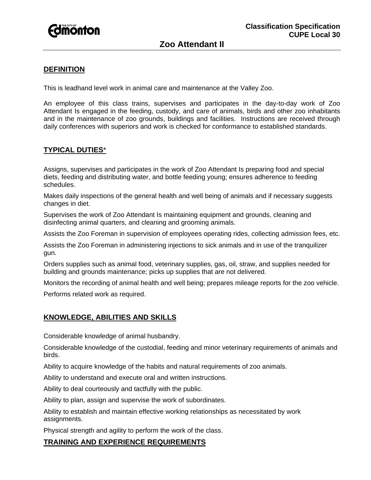

# **Zoo Attendant II**

### **DEFINITION**

This is leadhand level work in animal care and maintenance at the Valley Zoo.

An employee of this class trains, supervises and participates in the day-to-day work of Zoo Attendant Is engaged in the feeding, custody, and care of animals, birds and other zoo inhabitants and in the maintenance of zoo grounds, buildings and facilities. Instructions are received through daily conferences with superiors and work is checked for conformance to established standards.

## **TYPICAL DUTIES**\*

Assigns, supervises and participates in the work of Zoo Attendant Is preparing food and special diets, feeding and distributing water, and bottle feeding young; ensures adherence to feeding schedules.

Makes daily inspections of the general health and well being of animals and if necessary suggests changes in diet.

Supervises the work of Zoo Attendant Is maintaining equipment and grounds, cleaning and disinfecting animal quarters, and cleaning and grooming animals.

Assists the Zoo Foreman in supervision of employees operating rides, collecting admission fees, etc.

Assists the Zoo Foreman in administering injections to sick animals and in use of the tranquilizer gun.

Orders supplies such as animal food, veterinary supplies, gas, oil, straw, and supplies needed for building and grounds maintenance; picks up supplies that are not delivered.

Monitors the recording of animal health and well being; prepares mileage reports for the zoo vehicle.

Performs related work as required.

### **KNOWLEDGE, ABILITIES AND SKILLS**

Considerable knowledge of animal husbandry.

Considerable knowledge of the custodial, feeding and minor veterinary requirements of animals and birds.

Ability to acquire knowledge of the habits and natural requirements of zoo animals.

Ability to understand and execute oral and written instructions.

Ability to deal courteously and tactfully with the public.

Ability to plan, assign and supervise the work of subordinates.

Ability to establish and maintain effective working relationships as necessitated by work assignments.

Physical strength and agility to perform the work of the class.

#### **TRAINING AND EXPERIENCE REQUIREMENTS**